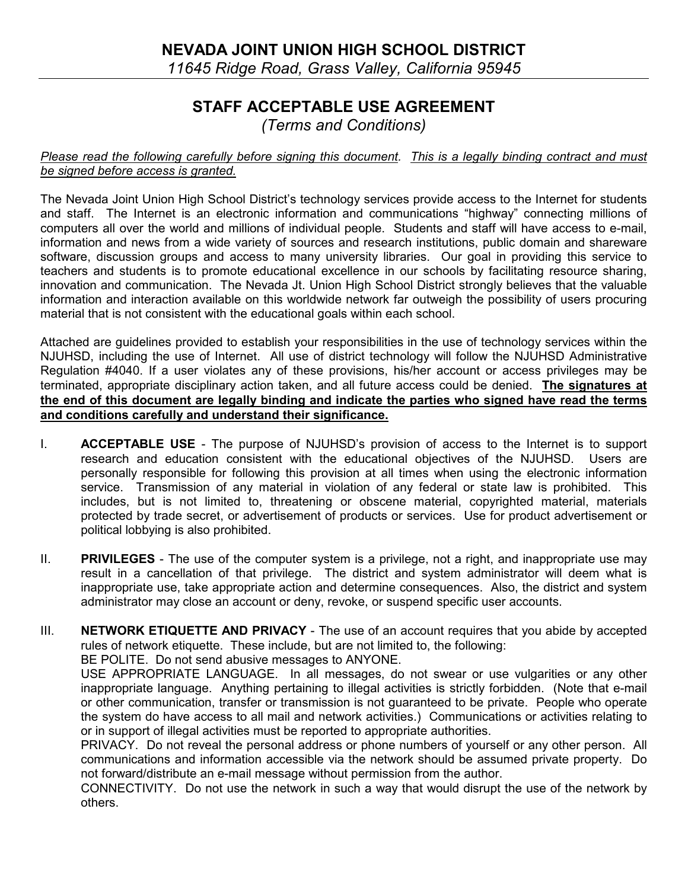## STAFF ACCEPTABLE USE AGREEMENT (Terms and Conditions)

## Please read the following carefully before signing this document. This is a legally binding contract and must be signed before access is granted.

The Nevada Joint Union High School District's technology services provide access to the Internet for students and staff. The Internet is an electronic information and communications "highway" connecting millions of computers all over the world and millions of individual people. Students and staff will have access to e-mail, information and news from a wide variety of sources and research institutions, public domain and shareware software, discussion groups and access to many university libraries. Our goal in providing this service to teachers and students is to promote educational excellence in our schools by facilitating resource sharing, innovation and communication. The Nevada Jt. Union High School District strongly believes that the valuable information and interaction available on this worldwide network far outweigh the possibility of users procuring material that is not consistent with the educational goals within each school.

Attached are guidelines provided to establish your responsibilities in the use of technology services within the NJUHSD, including the use of Internet. All use of district technology will follow the NJUHSD Administrative Regulation #4040. If a user violates any of these provisions, his/her account or access privileges may be terminated, appropriate disciplinary action taken, and all future access could be denied. The signatures at the end of this document are legally binding and indicate the parties who signed have read the terms and conditions carefully and understand their significance.

- I. ACCEPTABLE USE The purpose of NJUHSD's provision of access to the Internet is to support research and education consistent with the educational objectives of the NJUHSD. Users are personally responsible for following this provision at all times when using the electronic information service. Transmission of any material in violation of any federal or state law is prohibited. This includes, but is not limited to, threatening or obscene material, copyrighted material, materials protected by trade secret, or advertisement of products or services. Use for product advertisement or political lobbying is also prohibited.
- II. PRIVILEGES The use of the computer system is a privilege, not a right, and inappropriate use may result in a cancellation of that privilege. The district and system administrator will deem what is inappropriate use, take appropriate action and determine consequences. Also, the district and system administrator may close an account or deny, revoke, or suspend specific user accounts.
- III. NETWORK ETIQUETTE AND PRIVACY The use of an account requires that you abide by accepted rules of network etiquette. These include, but are not limited to, the following:

BE POLITE. Do not send abusive messages to ANYONE.

 USE APPROPRIATE LANGUAGE. In all messages, do not swear or use vulgarities or any other inappropriate language. Anything pertaining to illegal activities is strictly forbidden. (Note that e-mail or other communication, transfer or transmission is not guaranteed to be private. People who operate the system do have access to all mail and network activities.) Communications or activities relating to or in support of illegal activities must be reported to appropriate authorities.

 PRIVACY. Do not reveal the personal address or phone numbers of yourself or any other person. All communications and information accessible via the network should be assumed private property. Do not forward/distribute an e-mail message without permission from the author.

 CONNECTIVITY. Do not use the network in such a way that would disrupt the use of the network by others.